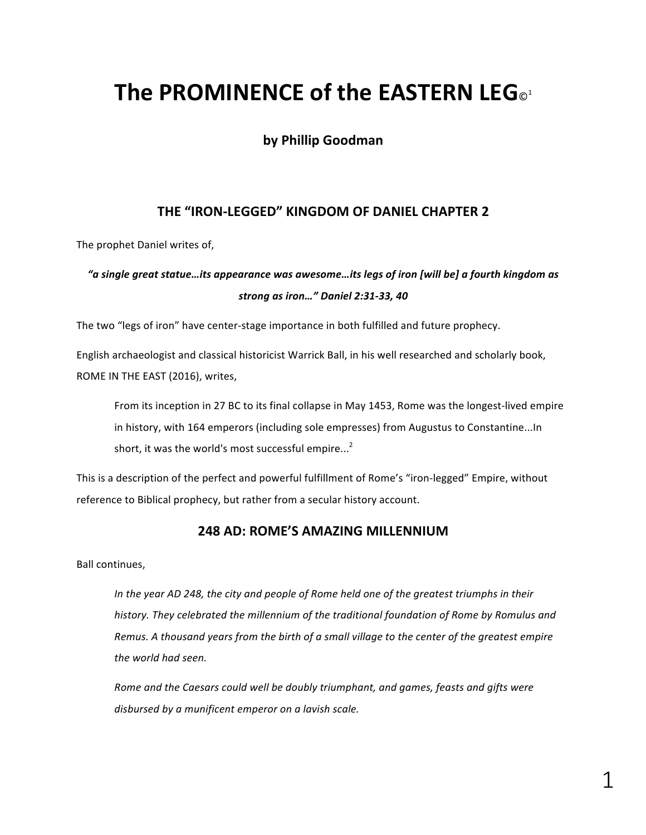# **The PROMINENCE of the EASTERN LEG**<sup>1</sup>

# **by Phillip Goodman**

# THE "IRON-LEGGED" KINGDOM OF DANIEL CHAPTER 2

The prophet Daniel writes of,

# *"a single great statue…its appearance was awesome…its legs of iron [will be] a fourth kingdom as strong as iron…" Daniel 2:31-33, 40*

The two "legs of iron" have center-stage importance in both fulfilled and future prophecy.

English archaeologist and classical historicist Warrick Ball, in his well researched and scholarly book, ROME IN THE EAST (2016), writes,

From its inception in 27 BC to its final collapse in May 1453, Rome was the longest-lived empire in history, with 164 emperors (including sole empresses) from Augustus to Constantine...In short, it was the world's most successful empire... $<sup>2</sup>$ </sup>

This is a description of the perfect and powerful fulfillment of Rome's "iron-legged" Empire, without reference to Biblical prophecy, but rather from a secular history account.

### **248 AD: ROME'S AMAZING MILLENNIUM**

Ball continues,

In the year AD 248, the city and people of Rome held one of the greatest triumphs in their history. They celebrated the millennium of the traditional foundation of Rome by Romulus and *Remus. A thousand years from the birth of a small village to the center of the greatest empire the world had seen.* 

*Rome and the Caesars could well be doubly triumphant, and games, feasts and gifts were* disbursed by a munificent emperor on a lavish scale.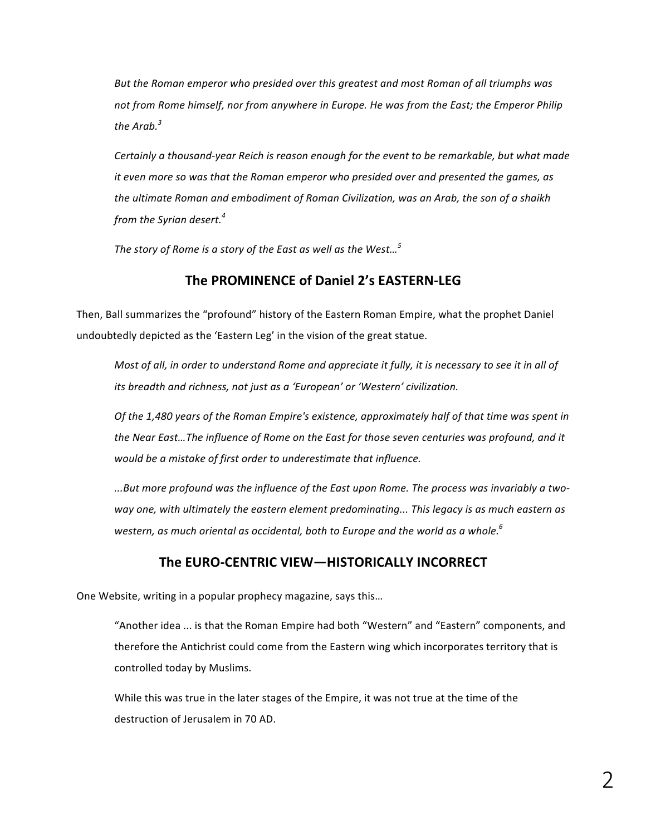But the Roman emperor who presided over this greatest and most Roman of all triumphs was not from Rome himself, nor from anywhere in Europe. He was from the East; the Emperor Philip *the* Arab.<sup> $3$ </sup>

Certainly a thousand-year Reich is reason enough for the event to be remarkable, but what made *it* even more so was that the Roman emperor who presided over and presented the games, as the ultimate Roman and embodiment of Roman Civilization, was an Arab, the son of a shaikh *from the Syrian desert.*<sup>4</sup>

The story of Rome is a story of the East as well as the West...<sup>5</sup>

## **The PROMINENCE of Daniel 2's EASTERN-LEG**

Then, Ball summarizes the "profound" history of the Eastern Roman Empire, what the prophet Daniel undoubtedly depicted as the 'Eastern Leg' in the vision of the great statue.

*Most of all, in order to understand Rome and appreciate it fully, it is necessary to see it in all of its* breadth and richness, not just as a 'European' or 'Western' civilization.

Of the 1,480 years of the Roman Empire's existence, approximately half of that time was spent in the Near East...The influence of Rome on the East for those seven centuries was profound, and it *would be a mistake of first order to underestimate that influence.* 

...But more profound was the influence of the East upon Rome. The process was invariably a twoway one, with ultimately the eastern element predominating... This legacy is as much eastern as western, as much oriental as occidental, both to Europe and the world as a whole.<sup>6</sup>

# The EURO-CENTRIC VIEW-HISTORICALLY INCORRECT

One Website, writing in a popular prophecy magazine, says this...

"Another idea ... is that the Roman Empire had both "Western" and "Eastern" components, and therefore the Antichrist could come from the Eastern wing which incorporates territory that is controlled today by Muslims.

While this was true in the later stages of the Empire, it was not true at the time of the destruction of Jerusalem in 70 AD.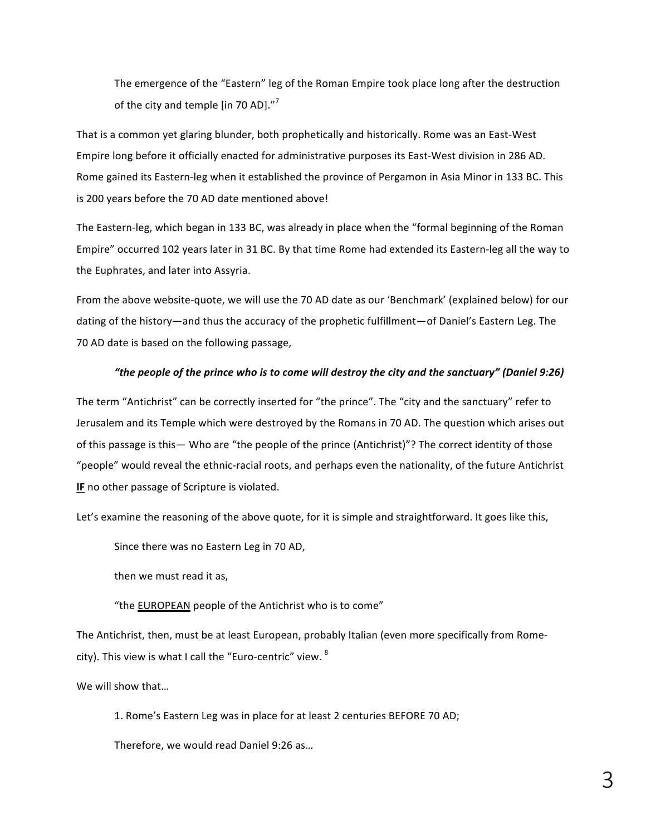The emergence of the "Eastern" leg of the Roman Empire took place long after the destruction of the city and temple [in 70 AD]. $^{\prime\prime}$ 

That is a common yet glaring blunder, both prophetically and historically. Rome was an East-West Empire long before it officially enacted for administrative purposes its East-West division in 286 AD. Rome gained its Eastern-leg when it established the province of Pergamon in Asia Minor in 133 BC. This is 200 years before the 70 AD date mentioned above!

The Eastern-leg, which began in 133 BC, was already in place when the "formal beginning of the Roman Empire" occurred 102 years later in 31 BC. By that time Rome had extended its Eastern-leg all the way to the Euphrates, and later into Assyria.

From the above website-quote, we will use the 70 AD date as our 'Benchmark' (explained below) for our dating of the history—and thus the accuracy of the prophetic fulfillment—of Daniel's Eastern Leg. The 70 AD date is based on the following passage,

#### *"the people of the prince who is to come will destroy the city and the sanctuary" (Daniel 9:26)*

The term "Antichrist" can be correctly inserted for "the prince". The "city and the sanctuary" refer to Jerusalem and its Temple which were destroyed by the Romans in 70 AD. The question which arises out of this passage is this— Who are "the people of the prince (Antichrist)"? The correct identity of those "people" would reveal the ethnic-racial roots, and perhaps even the nationality, of the future Antichrist **IF** no other passage of Scripture is violated.

Let's examine the reasoning of the above quote, for it is simple and straightforward. It goes like this,

Since there was no Eastern Leg in 70 AD,

then we must read it as,

"the **EUROPEAN** people of the Antichrist who is to come"

The Antichrist, then, must be at least European, probably Italian (even more specifically from Romecity). This view is what I call the "Euro-centric" view.  $8$ 

We will show that...

1. Rome's Eastern Leg was in place for at least 2 centuries BEFORE 70 AD;

Therefore, we would read Daniel 9:26 as...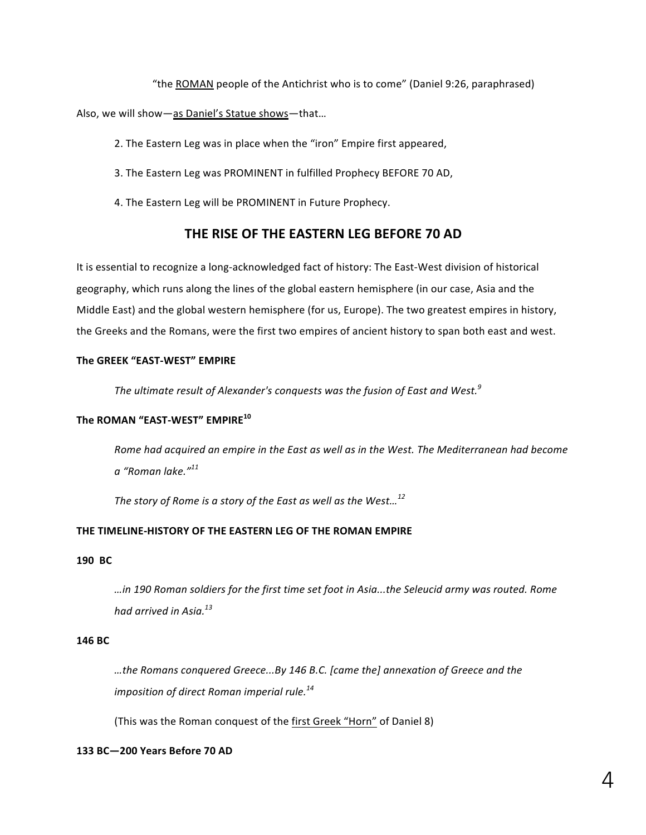"the ROMAN people of the Antichrist who is to come" (Daniel 9:26, paraphrased)

Also, we will show-as Daniel's Statue shows-that...

2. The Eastern Leg was in place when the "iron" Empire first appeared,

- 3. The Eastern Leg was PROMINENT in fulfilled Prophecy BEFORE 70 AD,
- 4. The Eastern Leg will be PROMINENT in Future Prophecy.

# **THE RISE OF THE EASTERN LEG BEFORE 70 AD**

It is essential to recognize a long-acknowledged fact of history: The East-West division of historical geography, which runs along the lines of the global eastern hemisphere (in our case, Asia and the Middle East) and the global western hemisphere (for us, Europe). The two greatest empires in history, the Greeks and the Romans, were the first two empires of ancient history to span both east and west.

#### The GREEK "EAST-WEST" EMPIRE

The ultimate result of Alexander's conquests was the fusion of East and West.<sup>9</sup>

#### **The ROMAN "EAST-WEST" EMPIRE<sup>10</sup>**

Rome had acquired an empire in the East as well as in the West. The Mediterranean had become *a "Roman lake."<sup>11</sup>*

*The story of Rome is a story of the East as well as the West...*<sup>12</sup>

#### THE TIMELINE-HISTORY OF THE EASTERN LEG OF THE ROMAN EMPIRE

#### **190 BC**

*…in 190 Roman soldiers for the first time set foot in Asia...the Seleucid army was routed. Rome had arrived in Asia.13*

#### **146 BC**

…the Romans conquered Greece...By 146 B.C. [came the] annexation of Greece and the *imposition of direct Roman imperial rule.*<sup>14</sup>

(This was the Roman conquest of the first Greek "Horn" of Daniel 8)

#### **133 BC—200 Years Before 70 AD**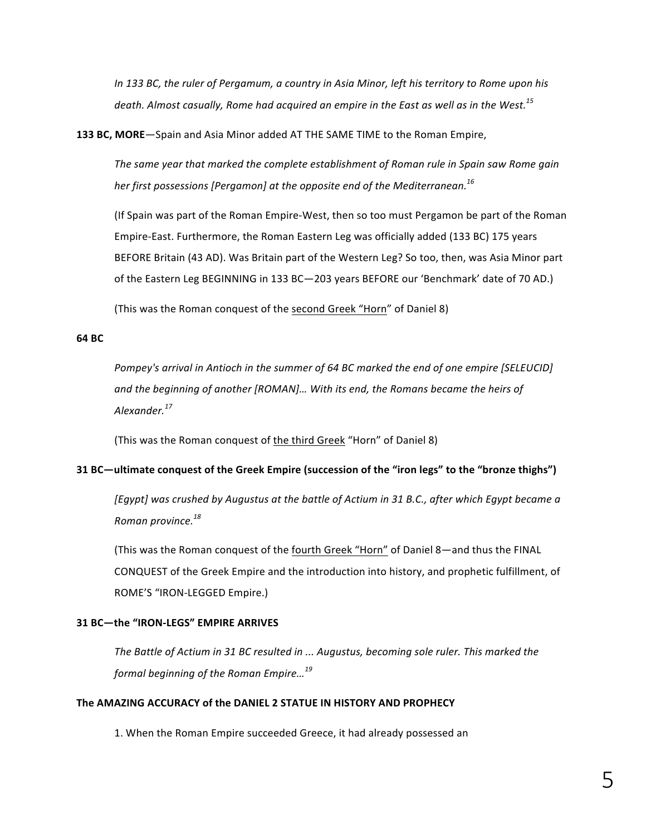*In* 133 BC, the ruler of Pergamum, a country in Asia Minor, left his territory to Rome upon his death. Almost casually, Rome had acquired an empire in the East as well as in the West.<sup>15</sup>

**133 BC, MORE**—Spain and Asia Minor added AT THE SAME TIME to the Roman Empire,

The same year that marked the complete establishment of Roman rule in Spain saw Rome gain *her first possessions* [Pergamon] at the opposite end of the Mediterranean.<sup>16</sup>

(If Spain was part of the Roman Empire-West, then so too must Pergamon be part of the Roman Empire-East. Furthermore, the Roman Eastern Leg was officially added (133 BC) 175 years BEFORE Britain (43 AD). Was Britain part of the Western Leg? So too, then, was Asia Minor part of the Eastern Leg BEGINNING in 133 BC-203 years BEFORE our 'Benchmark' date of 70 AD.)

(This was the Roman conquest of the second Greek "Horn" of Daniel 8)

#### **64 BC**

*Pompey's arrival in Antioch in the summer of 64 BC marked the end of one empire [SELEUCID]* and the beginning of another [ROMAN]... With its end, the Romans became the heirs of *Alexander.<sup>17</sup>*

(This was the Roman conquest of the third Greek "Horn" of Daniel 8)

#### **31 BC—ultimate conquest of the Greek Empire (succession of the "iron legs" to the "bronze thighs")**

*[Egypt]* was crushed by Augustus at the battle of Actium in 31 B.C., after which Egypt became a *Roman province.<sup>18</sup>*

(This was the Roman conquest of the fourth Greek "Horn" of Daniel 8—and thus the FINAL CONQUEST of the Greek Empire and the introduction into history, and prophetic fulfillment, of ROME'S "IRON-LEGGED Empire.)

#### **31 BC-the "IRON-LEGS" EMPIRE ARRIVES**

The Battle of Actium in 31 BC resulted in ... Augustus, becoming sole ruler. This marked the *formal beginning of the Roman Empire*...<sup>19</sup>

#### **The AMAZING ACCURACY of the DANIEL 2 STATUE IN HISTORY AND PROPHECY**

1. When the Roman Empire succeeded Greece, it had already possessed an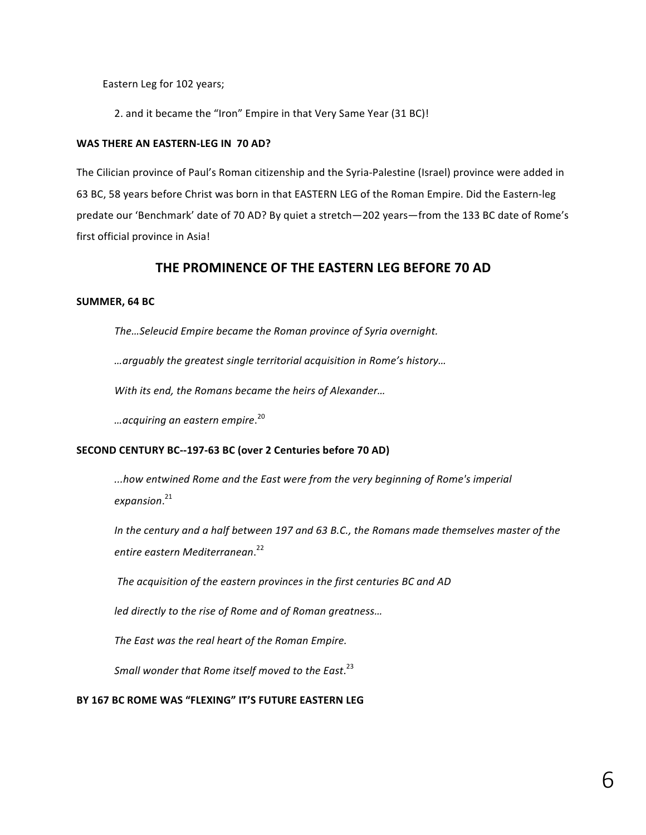Eastern Leg for 102 years;

2. and it became the "Iron" Empire in that Very Same Year (31 BC)!

#### WAS THERE AN EASTERN-LEG IN 70 AD?

The Cilician province of Paul's Roman citizenship and the Syria-Palestine (Israel) province were added in 63 BC, 58 years before Christ was born in that EASTERN LEG of the Roman Empire. Did the Eastern-leg predate our 'Benchmark' date of 70 AD? By quiet a stretch-202 years-from the 133 BC date of Rome's first official province in Asia!

## **THE PROMINENCE OF THE EASTERN LEG BEFORE 70 AD**

#### SUMMER, 64 BC

The...Seleucid Empire became the Roman province of Syria overnight.

*…arguably the greatest single territorial acquisition in Rome's history…*

*With its end, the Romans became the heirs of Alexander...* 

*…acquiring an eastern empire*. 20

#### **SECOND CENTURY BC--197-63 BC (over 2 Centuries before 70 AD)**

*...how entwined Rome and the East were from the very beginning of Rome's imperial expansion*. 21

In the century and a half between 197 and 63 B.C., the Romans made themselves master of the *entire eastern Mediterranean*. 22

The acquisition of the eastern provinces in the first centuries BC and AD

*led directly to the rise of Rome and of Roman greatness...* 

The East was the real heart of the Roman Empire.

Small wonder that Rome itself moved to the East.<sup>23</sup>

#### BY 167 BC ROME WAS "FLEXING" IT'S FUTURE EASTERN LEG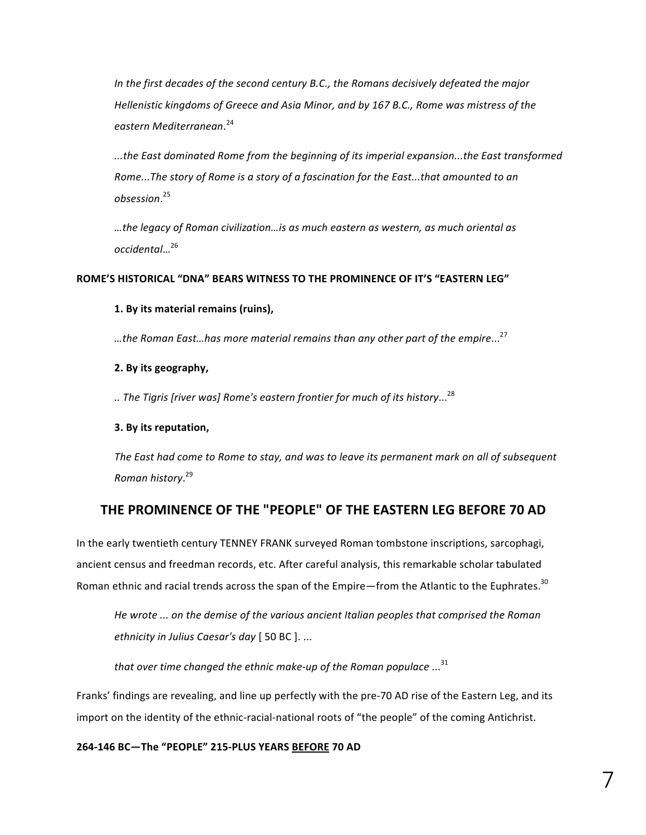In the first decades of the second century B.C., the Romans decisively defeated the major *Hellenistic kingdoms of Greece and Asia Minor, and by 167 B.C., Rome was mistress of the eastern Mediterranean*. 24

*...the East dominated Rome from the beginning of its imperial expansion...the East transformed Rome...The story of Rome is a story of a fascination for the East...that amounted to an obsession*. 25

…the legacy of Roman civilization…is as much eastern as western, as much oriental as *occidental*…<sup>26</sup>

#### **ROME'S HISTORICAL "DNA" BEARS WITNESS TO THE PROMINENCE OF IT'S "EASTERN LEG"**

#### **1. By its material remains (ruins),**

…the Roman East…has more material remains than any other part of the empire...<sup>27</sup>

#### **2. By its geography,**

*.. The Tigris [river was] Rome's eastern frontier for much of its history*...28

#### **3. By its reputation,**

The East had come to Rome to stay, and was to leave its permanent mark on all of subsequent *Roman history*. 29

# THE PROMINENCE OF THE "PEOPLE" OF THE EASTERN LEG BEFORE 70 AD

In the early twentieth century TENNEY FRANK surveyed Roman tombstone inscriptions, sarcophagi, ancient census and freedman records, etc. After careful analysis, this remarkable scholar tabulated Roman ethnic and racial trends across the span of the Empire—from the Atlantic to the Euphrates.<sup>30</sup>

He wrote ... on the demise of the various ancient Italian peoples that comprised the Roman *ethnicity in Julius Caesar's day* [ 50 BC ]. ...

*that* over time changed the ethnic make-up of the Roman populace ...<sup>31</sup>

Franks' findings are revealing, and line up perfectly with the pre-70 AD rise of the Eastern Leg, and its import on the identity of the ethnic-racial-national roots of "the people" of the coming Antichrist.

**264-146 BC—The "PEOPLE" 215-PLUS YEARS BEFORE 70 AD**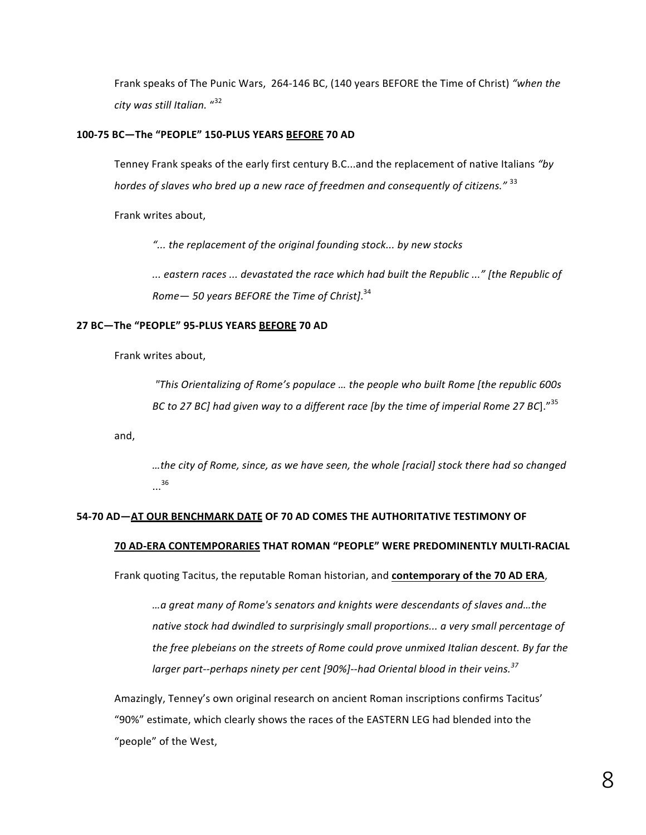Frank speaks of The Punic Wars, 264-146 BC, (140 years BEFORE the Time of Christ) "when the *city was still Italian.* " 32

#### **100-75 BC—The "PEOPLE" 150-PLUS YEARS BEFORE 70 AD**

Tenney Frank speaks of the early first century B.C...and the replacement of native Italians "by *hordes of slaves who bred up a new race of freedmen and consequently of citizens."* <sup>33</sup>

Frank writes about,

"... the replacement of the original founding stock... by new stocks

*... eastern races ... devastated the race which had built the Republic ..." [the Republic of Rome— 50 years BEFORE the Time of Christ]*. 34

#### **27 BC—The "PEOPLE" 95-PLUS YEARS BEFORE 70 AD**

Frank writes about,

*"This Orientalizing of Rome's populace … the people who built Rome [the republic 600s BC* to 27 *BC*] had given way to a different race [by the time of imperial Rome 27 BC]."<sup>35</sup>

and,

*…the city of Rome, since, as we have seen, the whole [racial] stock there had so changed* ...<sup>36</sup>

#### **54-70 AD-AT OUR BENCHMARK DATE OF 70 AD COMES THE AUTHORITATIVE TESTIMONY OF**

#### **70 AD-ERA CONTEMPORARIES THAT ROMAN "PEOPLE" WERE PREDOMINENTLY MULTI-RACIAL**

Frank quoting Tacitus, the reputable Roman historian, and **contemporary of the 70 AD ERA**,

*…a great many of Rome's senators and knights were descendants of slaves and…the*  native stock had dwindled to surprisingly small proportions... a very small percentage of *the free plebeians* on the streets of Rome could prove unmixed Italian descent. By far the *larger part--perhaps ninety per cent* [90%]--had Oriental blood in their veins.<sup>37</sup>

Amazingly, Tenney's own original research on ancient Roman inscriptions confirms Tacitus' "90%" estimate, which clearly shows the races of the EASTERN LEG had blended into the "people" of the West,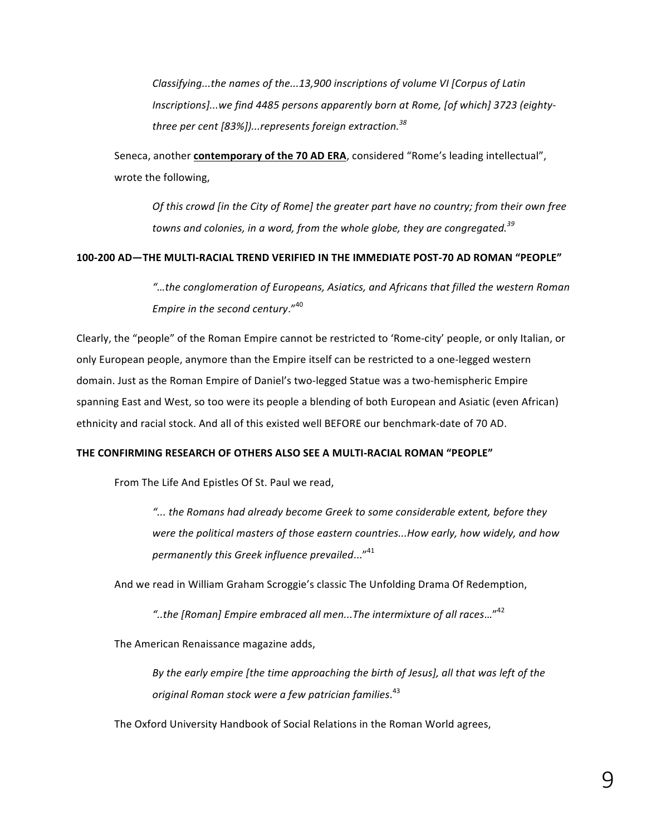*Classifying...the names of the...13,900 inscriptions of volume VI [Corpus of Latin* Inscriptions]...we find 4485 persons apparently born at Rome, [of which] 3723 (eighty*three per cent* [83%])...represents foreign extraction.<sup>38</sup>

Seneca, another **contemporary of the 70 AD ERA**, considered "Rome's leading intellectual", wrote the following,

*Of* this crowd [in the City of Rome] the greater part have no country; from their own free towns and colonies, in a word, from the whole globe, they are congregated.<sup>39</sup>

#### **100-200 AD—THE MULTI-RACIAL TREND VERIFIED IN THE IMMEDIATE POST-70 AD ROMAN "PEOPLE"**

"...the conglomeration of Europeans, Asiatics, and Africans that filled the western Roman *Empire in the second century.*"<sup>40</sup>

Clearly, the "people" of the Roman Empire cannot be restricted to 'Rome-city' people, or only Italian, or only European people, anymore than the Empire itself can be restricted to a one-legged western domain. Just as the Roman Empire of Daniel's two-legged Statue was a two-hemispheric Empire spanning East and West, so too were its people a blending of both European and Asiatic (even African) ethnicity and racial stock. And all of this existed well BEFORE our benchmark-date of 70 AD.

#### **THE CONFIRMING RESEARCH OF OTHERS ALSO SEE A MULTI-RACIAL ROMAN "PEOPLE"**

From The Life And Epistles Of St. Paul we read,

*"... the Romans had already become Greek to some considerable extent, before they*  were the political masters of those eastern countries...How early, how widely, and how *permanently this Greek influence prevailed...*"<sup>41</sup>

And we read in William Graham Scroggie's classic The Unfolding Drama Of Redemption,

*"..the [Roman] Empire embraced all men...The intermixture of all races*…"<sup>42</sup>

The American Renaissance magazine adds,

By the early empire [the time approaching the birth of Jesus], all that was left of the *original Roman stock were a few patrician families*. 43

The Oxford University Handbook of Social Relations in the Roman World agrees,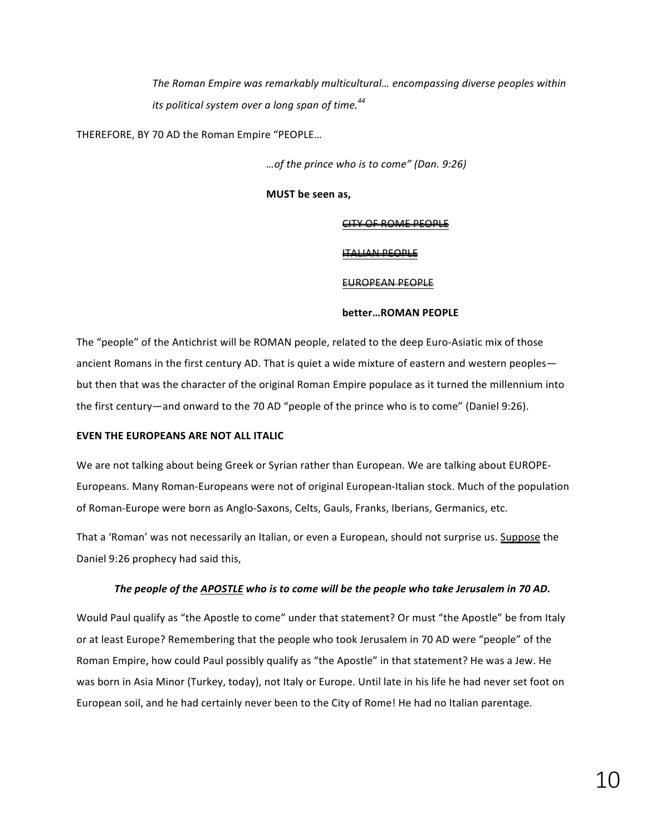The Roman Empire was remarkably multicultural... encompassing diverse peoples within its political system over a long span of time.<sup>44</sup>

THEREFORE, BY 70 AD the Roman Empire "PEOPLE...

*…of the prince who is to come" (Dan. 9:26)* 

**MUST** be seen as.

#### CITY OF ROME PEOPLE

#### ITALIAN PEOPLE

#### EUROPEAN PEOPLE

#### **better…ROMAN PEOPLE**

The "people" of the Antichrist will be ROMAN people, related to the deep Euro-Asiatic mix of those ancient Romans in the first century AD. That is quiet a wide mixture of eastern and western peoples but then that was the character of the original Roman Empire populace as it turned the millennium into the first century—and onward to the 70 AD "people of the prince who is to come" (Daniel 9:26).

#### **EVEN THE EUROPEANS ARE NOT ALL ITALIC**

We are not talking about being Greek or Syrian rather than European. We are talking about EUROPE-Europeans. Many Roman-Europeans were not of original European-Italian stock. Much of the population of Roman-Europe were born as Anglo-Saxons, Celts, Gauls, Franks, Iberians, Germanics, etc.

That a 'Roman' was not necessarily an Italian, or even a European, should not surprise us. Suppose the Daniel 9:26 prophecy had said this,

#### The people of the APOSTLE who is to come will be the people who take Jerusalem in 70 AD.

Would Paul qualify as "the Apostle to come" under that statement? Or must "the Apostle" be from Italy or at least Europe? Remembering that the people who took Jerusalem in 70 AD were "people" of the Roman Empire, how could Paul possibly qualify as "the Apostle" in that statement? He was a Jew. He was born in Asia Minor (Turkey, today), not Italy or Europe. Until late in his life he had never set foot on European soil, and he had certainly never been to the City of Rome! He had no Italian parentage.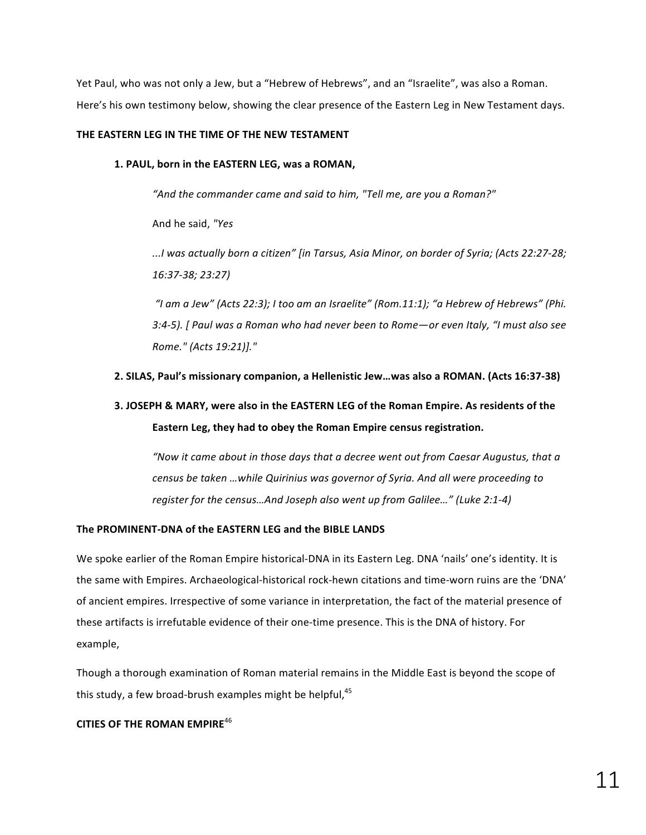Yet Paul, who was not only a Jew, but a "Hebrew of Hebrews", and an "Israelite", was also a Roman. Here's his own testimony below, showing the clear presence of the Eastern Leg in New Testament days.

#### **THE EASTERN LEG IN THE TIME OF THE NEW TESTAMENT**

1. PAUL, born in the EASTERN LEG, was a ROMAN,

"And the commander came and said to him, "Tell me, are you a Roman?"

And he said, *"Yes*

*...I was actually born a citizen" [in Tarsus, Asia Minor, on border of Syria; (Acts 22:27-28; 16:37-38; 23:27)*

"I am a Jew" (Acts 22:3); I too am an Israelite" (Rom.11:1); "a Hebrew of Hebrews" (Phi. 3:4-5). [ Paul was a Roman who had never been to Rome—or even Italy, "I must also see *Rome." (Acts 19:21)]."*

#### **2. SILAS, Paul's missionary companion, a Hellenistic Jew…was also a ROMAN. (Acts 16:37-38)**

# **3. JOSEPH & MARY, were also in the EASTERN LEG of the Roman Empire. As residents of the Eastern Leg, they had to obey the Roman Empire census registration.**

"Now it came about in those days that a decree went out from Caesar Augustus, that a *census be taken ...while Quirinius was governor of Syria. And all were proceeding to register for the census...And Joseph also went up from Galilee..."* (Luke 2:1-4)

#### The PROMINENT-DNA of the EASTERN LEG and the BIBLE LANDS

We spoke earlier of the Roman Empire historical-DNA in its Eastern Leg. DNA 'nails' one's identity. It is the same with Empires. Archaeological-historical rock-hewn citations and time-worn ruins are the 'DNA' of ancient empires. Irrespective of some variance in interpretation, the fact of the material presence of these artifacts is irrefutable evidence of their one-time presence. This is the DNA of history. For example,

Though a thorough examination of Roman material remains in the Middle East is beyond the scope of this study, a few broad-brush examples might be helpful, $45$ 

#### **CITIES OF THE ROMAN EMPIRE<sup>46</sup>**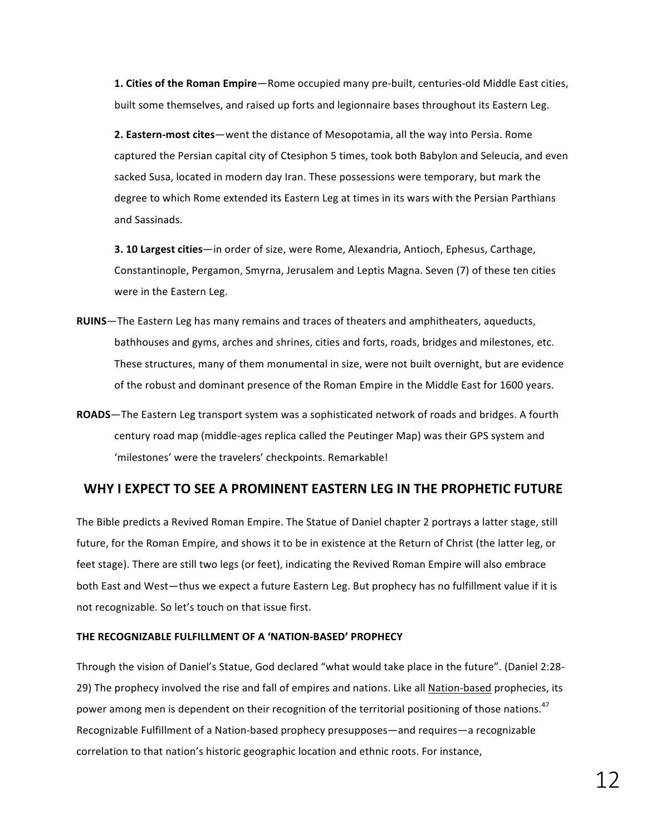**1. Cities of the Roman Empire**—Rome occupied many pre-built, centuries-old Middle East cities, built some themselves, and raised up forts and legionnaire bases throughout its Eastern Leg.

**2. Eastern-most cites**—went the distance of Mesopotamia, all the way into Persia. Rome captured the Persian capital city of Ctesiphon 5 times, took both Babylon and Seleucia, and even sacked Susa, located in modern day Iran. These possessions were temporary, but mark the degree to which Rome extended its Eastern Leg at times in its wars with the Persian Parthians and Sassinads.

**3. 10 Largest cities**—in order of size, were Rome, Alexandria, Antioch, Ephesus, Carthage, Constantinople, Pergamon, Smyrna, Jerusalem and Leptis Magna. Seven (7) of these ten cities were in the Eastern Leg.

- **RUINS**—The Eastern Leg has many remains and traces of theaters and amphitheaters, aqueducts, bathhouses and gyms, arches and shrines, cities and forts, roads, bridges and milestones, etc. These structures, many of them monumental in size, were not built overnight, but are evidence of the robust and dominant presence of the Roman Empire in the Middle East for 1600 years.
- **ROADS**—The Eastern Leg transport system was a sophisticated network of roads and bridges. A fourth century road map (middle-ages replica called the Peutinger Map) was their GPS system and 'milestones' were the travelers' checkpoints. Remarkable!

# WHY I EXPECT TO SEE A PROMINENT EASTERN LEG IN THE PROPHETIC FUTURE

The Bible predicts a Revived Roman Empire. The Statue of Daniel chapter 2 portrays a latter stage, still future, for the Roman Empire, and shows it to be in existence at the Return of Christ (the latter leg, or feet stage). There are still two legs (or feet), indicating the Revived Roman Empire will also embrace both East and West-thus we expect a future Eastern Leg. But prophecy has no fulfillment value if it is not recognizable. So let's touch on that issue first.

#### **THE RECOGNIZABLE FULFILLMENT OF A 'NATION-BASED' PROPHECY**

Through the vision of Daniel's Statue, God declared "what would take place in the future". (Daniel 2:28-29) The prophecy involved the rise and fall of empires and nations. Like all Nation-based prophecies, its power among men is dependent on their recognition of the territorial positioning of those nations.<sup>47</sup> Recognizable Fulfillment of a Nation-based prophecy presupposes—and requires—a recognizable correlation to that nation's historic geographic location and ethnic roots. For instance,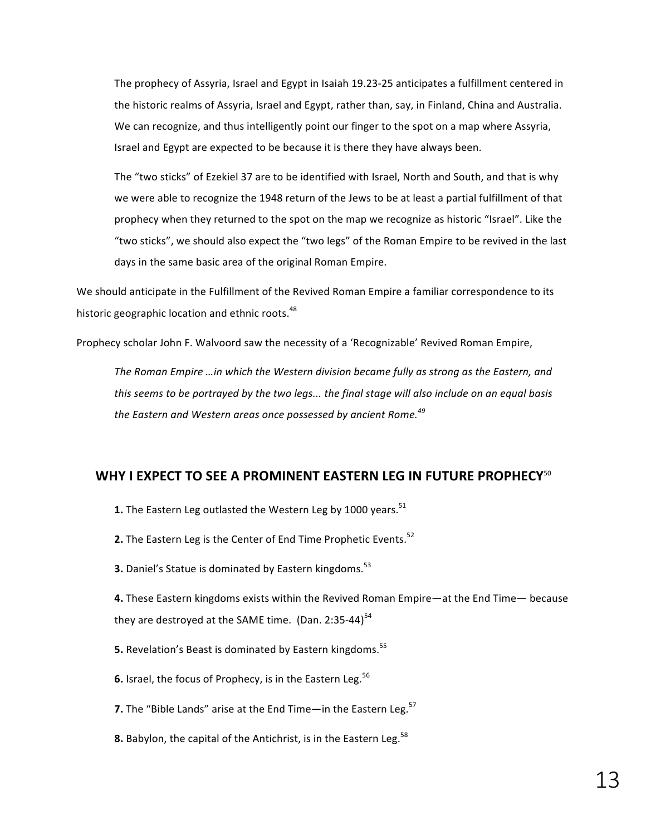The prophecy of Assyria, Israel and Egypt in Isaiah 19.23-25 anticipates a fulfillment centered in the historic realms of Assyria, Israel and Egypt, rather than, say, in Finland, China and Australia. We can recognize, and thus intelligently point our finger to the spot on a map where Assyria, Israel and Egypt are expected to be because it is there they have always been.

The "two sticks" of Ezekiel 37 are to be identified with Israel, North and South, and that is why we were able to recognize the 1948 return of the Jews to be at least a partial fulfillment of that prophecy when they returned to the spot on the map we recognize as historic "Israel". Like the "two sticks", we should also expect the "two legs" of the Roman Empire to be revived in the last days in the same basic area of the original Roman Empire.

We should anticipate in the Fulfillment of the Revived Roman Empire a familiar correspondence to its historic geographic location and ethnic roots.<sup>48</sup>

Prophecy scholar John F. Walvoord saw the necessity of a 'Recognizable' Revived Roman Empire,

The Roman Empire …in which the Western division became fully as strong as the Eastern, and this seems to be portrayed by the two legs... the final stage will also include on an equal basis the Eastern and Western areas once possessed by ancient Rome.<sup>49</sup>

## **WHY I EXPECT TO SEE A PROMINENT EASTERN LEG IN FUTURE PROPHECY<sup>50</sup>**

- **1.** The Eastern Leg outlasted the Western Leg by 1000 years.<sup>51</sup>
- **2.** The Eastern Leg is the Center of End Time Prophetic Events.<sup>52</sup>
- **3.** Daniel's Statue is dominated by Eastern kingdoms.<sup>53</sup>

**4.** These Eastern kingdoms exists within the Revived Roman Empire—at the End Time— because they are destroyed at the SAME time. (Dan. 2:35-44) $<sup>54</sup>$ </sup>

- **5.** Revelation's Beast is dominated by Eastern kingdoms.<sup>55</sup>
- **6.** Israel, the focus of Prophecy, is in the Eastern Leg.<sup>56</sup>
- **7.** The "Bible Lands" arise at the End Time—in the Eastern Leg.<sup>57</sup>
- **8.** Babylon, the capital of the Antichrist, is in the Eastern Leg.  $^{58}$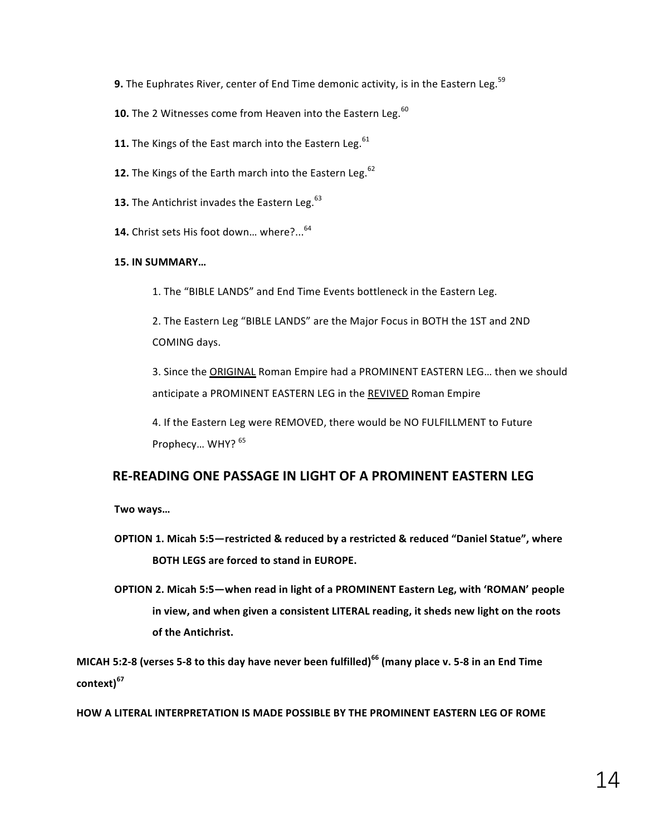- **9.** The Euphrates River, center of End Time demonic activity, is in the Eastern Leg.<sup>59</sup>
- **10.** The 2 Witnesses come from Heaven into the Eastern Leg.<sup>60</sup>
- **11.** The Kings of the East march into the Eastern Leg.  $^{61}$
- **12.** The Kings of the Earth march into the Eastern Leg.<sup>62</sup>
- **13.** The Antichrist invades the Eastern Leg.<sup>63</sup>
- 14. Christ sets His foot down... where?...<sup>64</sup>

#### **15. IN SUMMARY…**

1. The "BIBLE LANDS" and End Time Events bottleneck in the Eastern Leg.

2. The Eastern Leg "BIBLE LANDS" are the Major Focus in BOTH the 1ST and 2ND COMING days.

3. Since the ORIGINAL Roman Empire had a PROMINENT EASTERN LEG... then we should anticipate a PROMINENT EASTERN LEG in the REVIVED Roman Empire

4. If the Eastern Leg were REMOVED, there would be NO FULFILLMENT to Future Prophecy... WHY? 65

# **RE-READING ONE PASSAGE IN LIGHT OF A PROMINENT EASTERN LEG**

**Two ways…**

- **OPTION 1. Micah 5:5**-restricted & reduced by a restricted & reduced "Daniel Statue", where **BOTH LEGS are forced to stand in EUROPE.**
- **OPTION 2. Micah 5:5—when read in light of a PROMINENT Eastern Leg, with 'ROMAN' people** in view, and when given a consistent LITERAL reading, it sheds new light on the roots **of the Antichrist.**

**MICAH 5:2-8** (verses 5-8 to this day have never been fulfilled)<sup>66</sup> (many place v. 5-8 in an End Time **context)<sup>67</sup>**

**HOW A LITERAL INTERPRETATION IS MADE POSSIBLE BY THE PROMINENT EASTERN LEG OF ROME**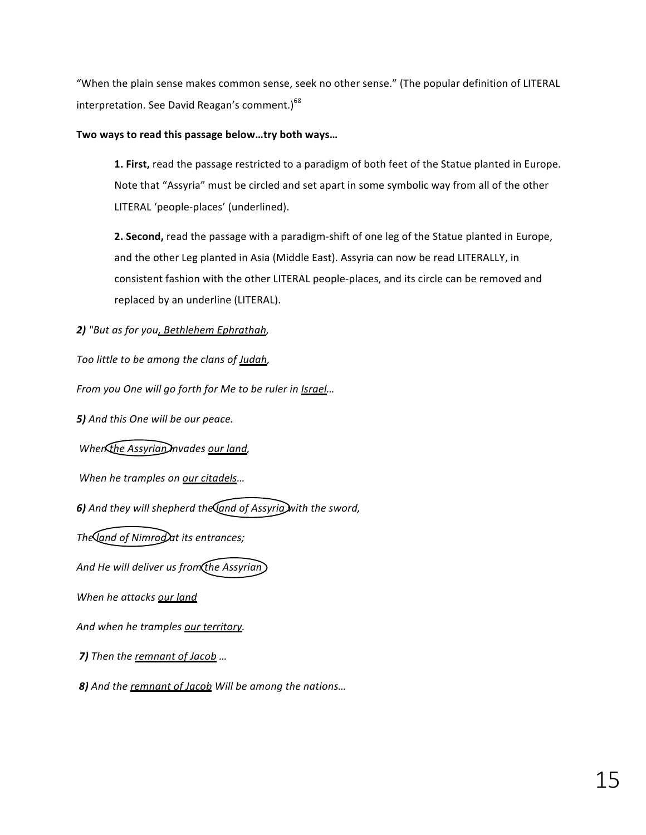"When the plain sense makes common sense, seek no other sense." (The popular definition of LITERAL interpretation. See David Reagan's comment.) $68$ 

Two ways to read this passage below ... try both ways...

**1. First,** read the passage restricted to a paradigm of both feet of the Statue planted in Europe. Note that "Assyria" must be circled and set apart in some symbolic way from all of the other LITERAL 'people-places' (underlined).

**2. Second,** read the passage with a paradigm-shift of one leg of the Statue planted in Europe, and the other Leg planted in Asia (Middle East). Assyria can now be read LITERALLY, in consistent fashion with the other LITERAL people-places, and its circle can be removed and replaced by an underline (LITERAL).

2) "But as for you<u>, Bethlehem Ephrathah</u>,

Too little to be among the clans of **Judah**,

*From you One will go forth for Me to be ruler in Israel...* 

**5)** And this One will be our peace.

*When the Assyrian Invades our land,* 

*When he tramples on our citadels...* 

6) And they will shepherd the and of Assyria with the sword,

The *Iand of Nimrod* at its entrances;

And He will deliver us from the Assyrian

When he attacks our land

And when he tramples our territory.

*7*) Then the remnant of Jacob ...

**8)** And the remnant of Jacob Will be among the nations...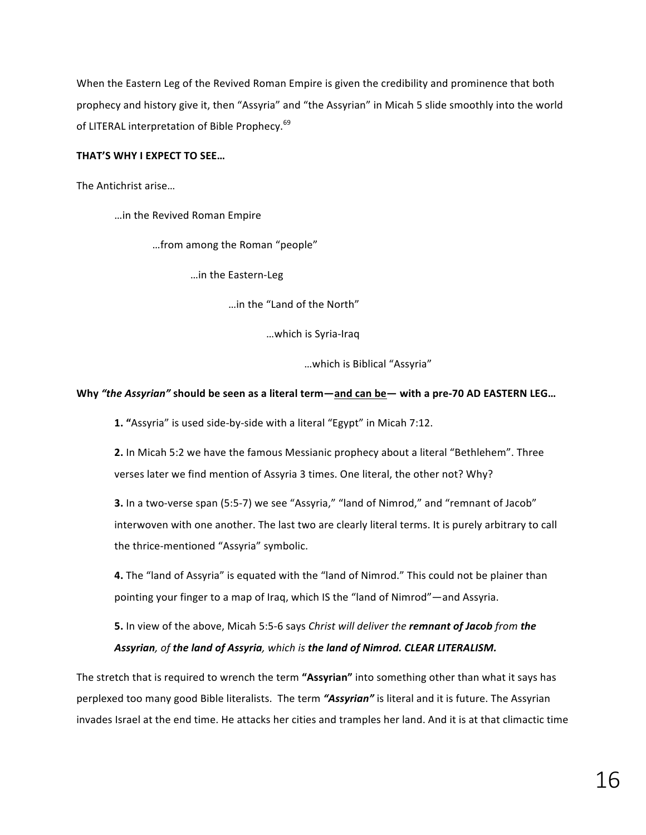When the Eastern Leg of the Revived Roman Empire is given the credibility and prominence that both prophecy and history give it, then "Assyria" and "the Assyrian" in Micah 5 slide smoothly into the world of LITERAL interpretation of Bible Prophecy.<sup>69</sup>

#### **THAT'S WHY I EXPECT TO SEE...**

The Antichrist arise...

…in the Revived Roman Empire

...from among the Roman "people"

…in the Eastern-Leg

…in the "Land of the North"

…which is Syria-Iraq

…which is Biblical "Assyria"

#### Why "the Assyrian" should be seen as a literal term—and can be— with a pre-70 AD EASTERN LEG...

**1.** "Assyria" is used side-by-side with a literal "Egypt" in Micah 7:12.

**2.** In Micah 5:2 we have the famous Messianic prophecy about a literal "Bethlehem". Three verses later we find mention of Assyria 3 times. One literal, the other not? Why?

**3.** In a two-verse span (5:5-7) we see "Assyria," "land of Nimrod," and "remnant of Jacob" interwoven with one another. The last two are clearly literal terms. It is purely arbitrary to call the thrice-mentioned "Assyria" symbolic.

**4.** The "land of Assyria" is equated with the "land of Nimrod." This could not be plainer than pointing your finger to a map of Iraq, which IS the "land of Nimrod"—and Assyria.

**5.** In view of the above, Micah 5:5-6 says *Christ will deliver the remnant of Jacob from the* Assyrian, of the land of Assyria, which is the land of Nimrod. CLEAR LITERALISM.

The stretch that is required to wrench the term "Assyrian" into something other than what it says has perplexed too many good Bible literalists. The term "Assyrian" is literal and it is future. The Assyrian invades Israel at the end time. He attacks her cities and tramples her land. And it is at that climactic time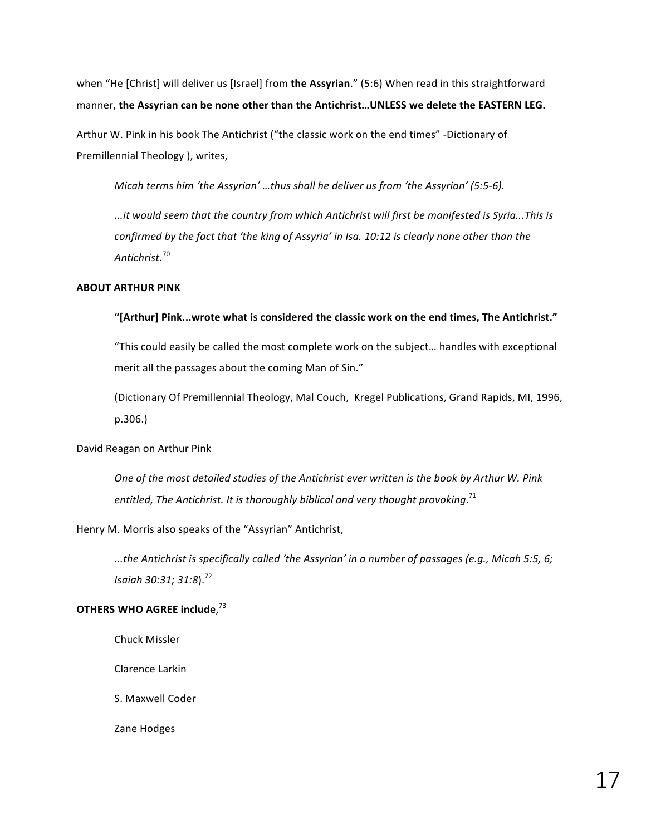when "He [Christ] will deliver us [Israel] from the Assyrian." (5:6) When read in this straightforward manner, the Assyrian can be none other than the Antichrist...UNLESS we delete the EASTERN LEG.

Arthur W. Pink in his book The Antichrist ("the classic work on the end times" -Dictionary of Premillennial Theology ), writes,

*Micah terms him 'the Assyrian' ...thus shall he deliver us from 'the Assyrian' (5:5-6).* 

*...it would seem that the country from which Antichrist will first be manifested is Syria...This is confirmed by the fact that 'the king of Assyria' in Isa. 10:12 is clearly none other than the Antichrist*. 70

#### **ABOUT ARTHUR PINK**

#### "[Arthur] Pink...wrote what is considered the classic work on the end times, The Antichrist."

"This could easily be called the most complete work on the subject... handles with exceptional merit all the passages about the coming Man of Sin."

(Dictionary Of Premillennial Theology, Mal Couch, Kregel Publications, Grand Rapids, MI, 1996, p.306.)

#### David Reagan on Arthur Pink

One of the most detailed studies of the Antichrist ever written is the book by Arthur W. Pink entitled, The Antichrist. It is thoroughly biblical and very thought provoking.<sup>71</sup>

#### Henry M. Morris also speaks of the "Assyrian" Antichrist,

*...the Antichrist is specifically called 'the Assyrian' in a number of passages (e.g., Micah 5:5, 6; ...) Isaiah 30:31; 31:8*). 72

#### OTHERS WHO AGREE include,<sup>73</sup>

Chuck Missler

Clarence Larkin

S. Maxwell Coder

Zane Hodges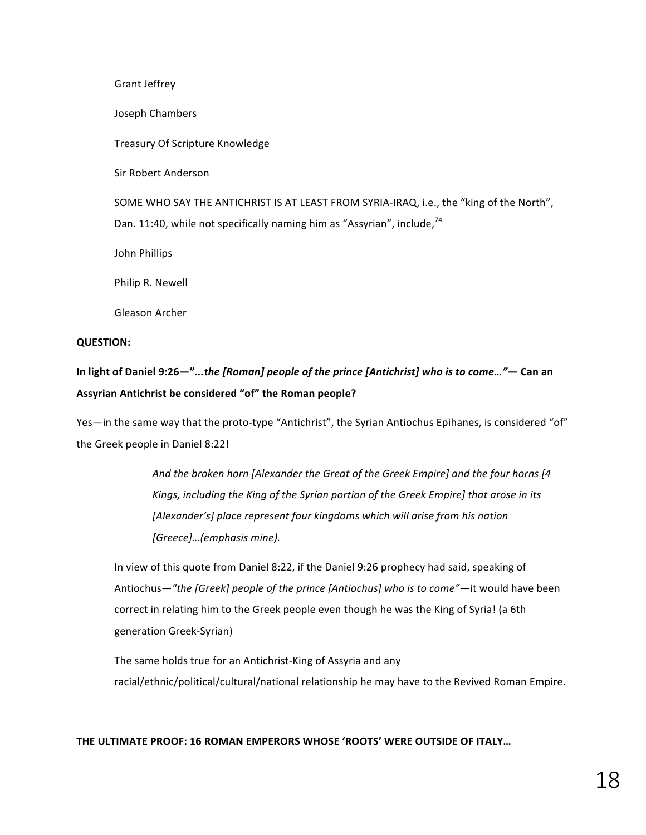Grant Jeffrey

Joseph Chambers

Treasury Of Scripture Knowledge

Sir Robert Anderson

SOME WHO SAY THE ANTICHRIST IS AT LEAST FROM SYRIA-IRAQ, i.e., the "king of the North", Dan. 11:40, while not specifically naming him as "Assyrian", include, 74

John Phillips

Philip R. Newell

Gleason Archer 

#### **QUESTION:**

In light of Daniel 9:26—"...the [Roman] people of the prince [Antichrist] who is to come..."— Can an Assyrian Antichrist be considered "of" the Roman people?

Yes—in the same way that the proto-type "Antichrist", the Syrian Antiochus Epihanes, is considered "of" the Greek people in Daniel 8:22!

> And the broken horn [Alexander the Great of the Greek Empire] and the four horns [4 Kings, including the King of the Syrian portion of the Greek Empire] that arose in its [Alexander's] place represent four kingdoms which will arise from his nation *[Greece]…(emphasis mine).*

In view of this quote from Daniel 8:22, if the Daniel 9:26 prophecy had said, speaking of Antiochus—"the [Greek] people of the prince [Antiochus] who is to come"—it would have been correct in relating him to the Greek people even though he was the King of Syria! (a 6th generation Greek-Syrian)

The same holds true for an Antichrist-King of Assyria and any racial/ethnic/political/cultural/national relationship he may have to the Revived Roman Empire.

#### THE ULTIMATE PROOF: 16 ROMAN EMPERORS WHOSE 'ROOTS' WERE OUTSIDE OF ITALY...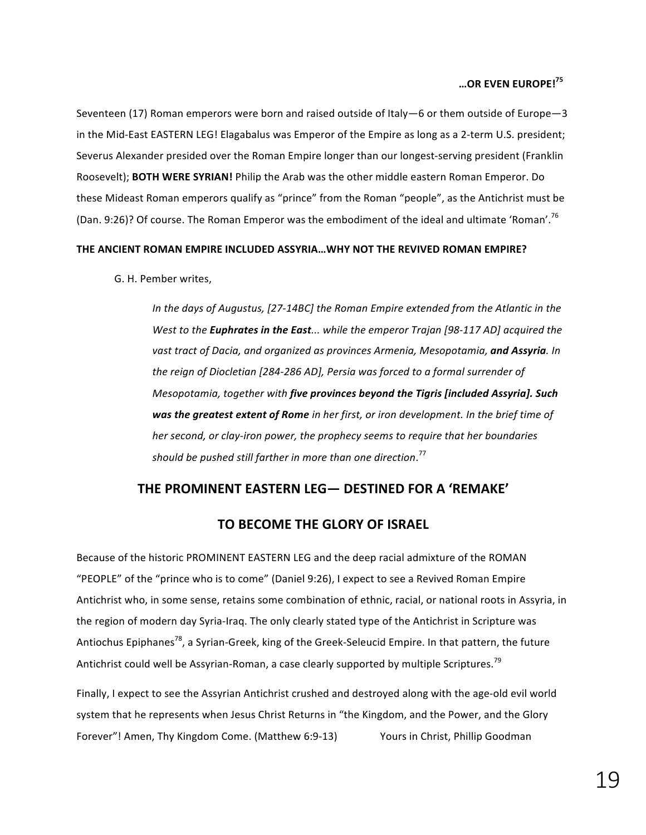#### **…OR EVEN EUROPE!<sup>75</sup>**

Seventeen (17) Roman emperors were born and raised outside of Italy–6 or them outside of Europe–3 in the Mid-East EASTERN LEG! Elagabalus was Emperor of the Empire as long as a 2-term U.S. president; Severus Alexander presided over the Roman Empire longer than our longest-serving president (Franklin Roosevelt); **BOTH WERE SYRIAN!** Philip the Arab was the other middle eastern Roman Emperor. Do these Mideast Roman emperors qualify as "prince" from the Roman "people", as the Antichrist must be (Dan. 9:26)? Of course. The Roman Emperor was the embodiment of the ideal and ultimate 'Roman'.<sup>76</sup>

#### **THE ANCIENT ROMAN EMPIRE INCLUDED ASSYRIA...WHY NOT THE REVIVED ROMAN EMPIRE?**

G. H. Pember writes, 

*In* the days of Augustus, [27-14BC] the Roman Empire extended from the Atlantic in the *West to the Euphrates in the East...* while the emperor Trajan [98-117 AD] acquired the vast tract of Dacia, and organized as provinces Armenia, Mesopotamia, **and Assyria**. In *the reign of Diocletian [284-286 AD], Persia was forced to a formal surrender of Mesopotamia, together with five provinces beyond the Tigris [included Assyria]. Such* **was the greatest extent of Rome** in her first, or iron development. In the brief time of *her second, or clay-iron power, the prophecy seems to require that her boundaries* should be pushed still farther in more than one direction.<sup>77</sup>

# **THE PROMINENT EASTERN LEG— DESTINED FOR A 'REMAKE'**

# **TO BECOME THE GLORY OF ISRAEL**

Because of the historic PROMINENT EASTERN LEG and the deep racial admixture of the ROMAN "PEOPLE" of the "prince who is to come" (Daniel 9:26), I expect to see a Revived Roman Empire Antichrist who, in some sense, retains some combination of ethnic, racial, or national roots in Assyria, in the region of modern day Syria-Iraq. The only clearly stated type of the Antichrist in Scripture was Antiochus Epiphanes<sup>78</sup>, a Syrian-Greek, king of the Greek-Seleucid Empire. In that pattern, the future Antichrist could well be Assyrian-Roman, a case clearly supported by multiple Scriptures.<sup>79</sup>

Finally, I expect to see the Assyrian Antichrist crushed and destroyed along with the age-old evil world system that he represents when Jesus Christ Returns in "the Kingdom, and the Power, and the Glory Forever"! Amen, Thy Kingdom Come. (Matthew 6:9-13) Yours in Christ, Phillip Goodman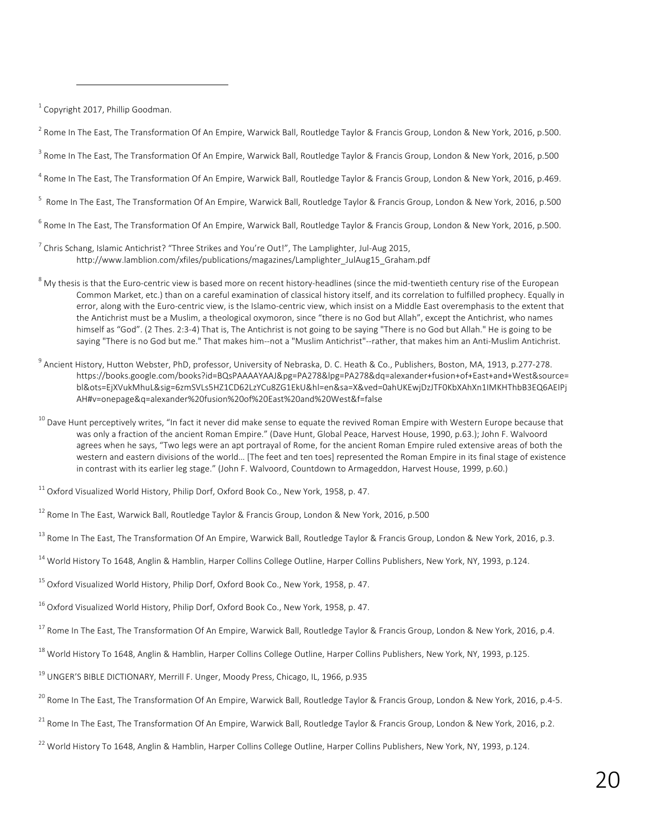$1$  Copyright 2017, Phillip Goodman.

<u> 1989 - Johann Stein, markin film yn y breninn y breninn y breninn y breninn y breninn y breninn y breninn y b</u>

 $^2$  Rome In The East, The Transformation Of An Empire, Warwick Ball, Routledge Taylor & Francis Group, London & New York, 2016, p.500.

 $^3$  Rome In The East, The Transformation Of An Empire, Warwick Ball, Routledge Taylor & Francis Group, London & New York, 2016, p.500

<sup>4</sup> Rome In The East, The Transformation Of An Empire, Warwick Ball, Routledge Taylor & Francis Group, London & New York, 2016, p.469.

5 Rome In The East, The Transformation Of An Empire, Warwick Ball, Routledge Taylor & Francis Group, London & New York, 2016, p.500

<sup>6</sup> Rome In The East, The Transformation Of An Empire, Warwick Ball, Routledge Taylor & Francis Group, London & New York, 2016, p.500.

- $^7$  Chris Schang, Islamic Antichrist? "Three Strikes and You're Out!", The Lamplighter, Jul-Aug 2015, http://www.lamblion.com/xfiles/publications/magazines/Lamplighter\_JulAug15\_Graham.pdf
- $8$  My thesis is that the Euro-centric view is based more on recent history-headlines (since the mid-twentieth century rise of the European Common Market, etc.) than on a careful examination of classical history itself, and its correlation to fulfilled prophecy. Equally in error, along with the Euro-centric view, is the Islamo-centric view, which insist on a Middle East overemphasis to the extent that the Antichrist must be a Muslim, a theological oxymoron, since "there is no God but Allah", except the Antichrist, who names himself as "God". (2 Thes. 2:3-4) That is, The Antichrist is not going to be saying "There is no God but Allah." He is going to be saying "There is no God but me." That makes him--not a "Muslim Antichrist"--rather, that makes him an Anti-Muslim Antichrist.
- <sup>9</sup> Ancient History, Hutton Webster, PhD, professor, University of Nebraska, D. C. Heath & Co., Publishers, Boston, MA, 1913, p.277-278. https://books.google.com/books?id=BQsPAAAAYAAJ&pg=PA278&lpg=PA278&dq=alexander+fusion+of+East+and+West&source= bl&ots=EjXVukMhuL&sig=6zmSVLs5HZ1CD62LzYCu8ZG1EkU&hl=en&sa=X&ved=0ahUKEwjDzJTF0KbXAhXn1IMKHThbB3EQ6AEIPj AH#v=onepage&q=alexander%20fusion%20of%20East%20and%20West&f=false
- $^{10}$  Dave Hunt perceptively writes, "In fact it never did make sense to equate the revived Roman Empire with Western Europe because that was only a fraction of the ancient Roman Empire." (Dave Hunt, Global Peace, Harvest House, 1990, p.63.); John F. Walvoord agrees when he says, "Two legs were an apt portrayal of Rome, for the ancient Roman Empire ruled extensive areas of both the western and eastern divisions of the world… [The feet and ten toes] represented the Roman Empire in its final stage of existence in contrast with its earlier leg stage." (John F. Walvoord, Countdown to Armageddon, Harvest House, 1999, p.60.)

 $^{11}$  Oxford Visualized World History, Philip Dorf, Oxford Book Co., New York, 1958, p. 47.

 $^{12}$  Rome In The East, Warwick Ball, Routledge Taylor & Francis Group, London & New York, 2016, p.500

<sup>13</sup> Rome In The East, The Transformation Of An Empire, Warwick Ball, Routledge Taylor & Francis Group, London & New York, 2016, p.3.

<sup>14</sup> World History To 1648, Anglin & Hamblin, Harper Collins College Outline, Harper Collins Publishers, New York, NY, 1993, p.124.

<sup>15</sup> Oxford Visualized World History, Philip Dorf, Oxford Book Co., New York, 1958, p. 47.

<sup>16</sup> Oxford Visualized World History, Philip Dorf, Oxford Book Co., New York, 1958, p. 47.

 $^{17}$  Rome In The East, The Transformation Of An Empire, Warwick Ball, Routledge Taylor & Francis Group, London & New York, 2016, p.4.

<sup>18</sup> World History To 1648, Anglin & Hamblin, Harper Collins College Outline, Harper Collins Publishers, New York, NY, 1993, p.125.

<sup>19</sup> UNGER'S BIBLE DICTIONARY, Merrill F. Unger, Moody Press, Chicago, IL, 1966, p.935

 $^{20}$  Rome In The East, The Transformation Of An Empire, Warwick Ball, Routledge Taylor & Francis Group, London & New York, 2016, p.4-5.

<sup>21</sup> Rome In The East, The Transformation Of An Empire, Warwick Ball, Routledge Taylor & Francis Group, London & New York, 2016, p.2.

 $^{22}$  World History To 1648, Anglin & Hamblin, Harper Collins College Outline, Harper Collins Publishers, New York, NY, 1993, p.124.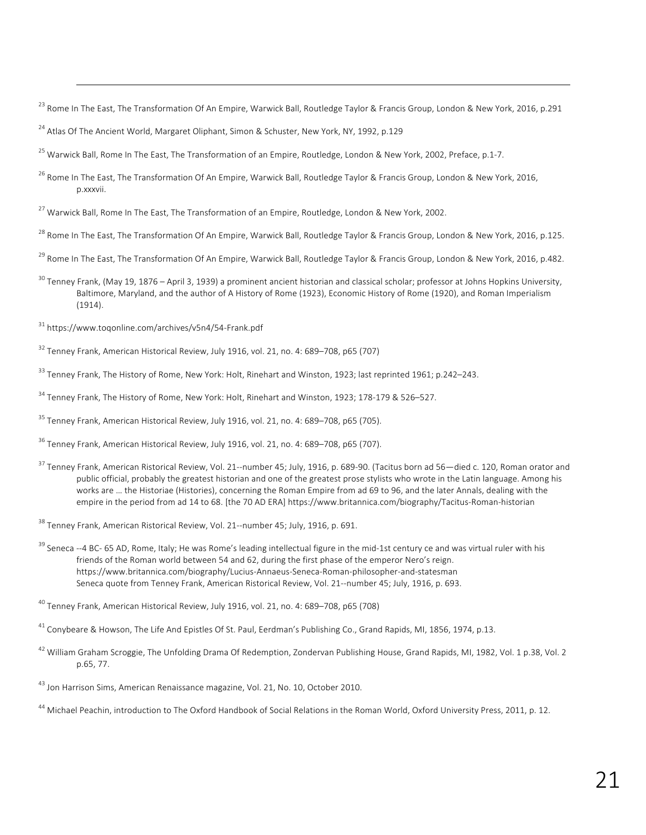<sup>23</sup> Rome In The East, The Transformation Of An Empire, Warwick Ball, Routledge Taylor & Francis Group, London & New York, 2016, p.291

<u> 1989 - Andrea Santa Andrea Andrea Andrea Andrea Andrea Andrea Andrea Andrea Andrea Andrea Andrea Andrea Andr</u>

<sup>24</sup> Atlas Of The Ancient World, Margaret Oliphant, Simon & Schuster, New York, NY, 1992, p.129

<sup>25</sup> Warwick Ball, Rome In The East, The Transformation of an Empire, Routledge, London & New York, 2002, Preface, p.1-7.

<sup>26</sup> Rome In The East, The Transformation Of An Empire, Warwick Ball, Routledge Taylor & Francis Group, London & New York, 2016, p.xxxvii.

<sup>27</sup> Warwick Ball, Rome In The East, The Transformation of an Empire, Routledge, London & New York, 2002.

<sup>28</sup> Rome In The East, The Transformation Of An Empire, Warwick Ball, Routledge Taylor & Francis Group, London & New York, 2016, p.125.

<sup>29</sup> Rome In The East, The Transformation Of An Empire, Warwick Ball, Routledge Taylor & Francis Group, London & New York, 2016, p.482.

 $^{30}$  Tenney Frank, (May 19, 1876 – April 3, 1939) a prominent ancient historian and classical scholar; professor at Johns Hopkins University, Baltimore, Maryland, and the author of A History of Rome (1923), Economic History of Rome (1920), and Roman Imperialism (1914).

<sup>31</sup> https://www.toqonline.com/archives/v5n4/54-Frank.pdf

- $32$  Tenney Frank, American Historical Review, July 1916, vol. 21, no. 4: 689–708, p65 (707)
- $33$  Tenney Frank, The History of Rome, New York: Holt, Rinehart and Winston, 1923; last reprinted 1961; p.242–243.
- <sup>34</sup> Tenney Frank, The History of Rome, New York: Holt, Rinehart and Winston, 1923; 178-179 & 526–527.
- <sup>35</sup> Tenney Frank, American Historical Review, July 1916, vol. 21, no. 4: 689–708, p65 (705).
- <sup>36</sup> Tenney Frank, American Historical Review, July 1916, vol. 21, no. 4: 689–708, p65 (707).
- <sup>37</sup> Tenney Frank, American Ristorical Review, Vol. 21--number 45; July, 1916, p. 689-90. (Tacitus born ad 56—died c. 120, Roman orator and public official, probably the greatest historian and one of the greatest prose stylists who wrote in the Latin language. Among his works are … the Historiae (Histories), concerning the Roman Empire from ad 69 to 96, and the later Annals, dealing with the empire in the period from ad 14 to 68. [the 70 AD ERA] https://www.britannica.com/biography/Tacitus-Roman-historian

<sup>38</sup> Tenney Frank, American Ristorical Review, Vol. 21--number 45; July, 1916, p. 691.

<sup>39</sup> Seneca --4 BC- 65 AD, Rome, Italy; He was Rome's leading intellectual figure in the mid-1st century ce and was virtual ruler with his friends of the Roman world between 54 and 62, during the first phase of the emperor Nero's reign. https://www.britannica.com/biography/Lucius-Annaeus-Seneca-Roman-philosopher-and-statesman Seneca quote from Tenney Frank, American Ristorical Review, Vol. 21--number 45; July, 1916, p. 693.

<sup>42</sup> William Graham Scroggie, The Unfolding Drama Of Redemption, Zondervan Publishing House, Grand Rapids, MI, 1982, Vol. 1 p.38, Vol. 2 p.65, 77.

<sup>40</sup> Tenney Frank, American Historical Review, July 1916, vol. 21, no. 4: 689–708, p65 (708)

<sup>&</sup>lt;sup>41</sup> Convbeare & Howson, The Life And Epistles Of St. Paul, Eerdman's Publishing Co., Grand Rapids, MI, 1856, 1974, p.13.

<sup>43</sup> Jon Harrison Sims, American Renaissance magazine, Vol. 21, No. 10, October 2010.

<sup>44</sup> Michael Peachin, introduction to The Oxford Handbook of Social Relations in the Roman World, Oxford University Press, 2011, p. 12.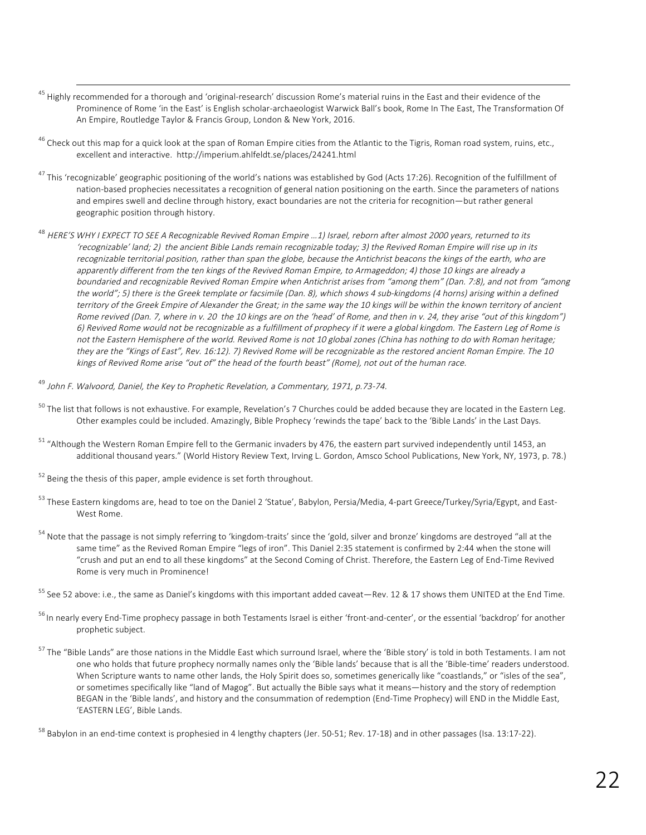<sup>45</sup> Highly recommended for a thorough and 'original-research' discussion Rome's material ruins in the East and their evidence of the Prominence of Rome 'in the East' is English scholar-archaeologist Warwick Ball's book, Rome In The East, The Transformation Of An Empire, Routledge Taylor & Francis Group, London & New York, 2016.

<u> 1989 - Andrea Santa Andrea Andrea Andrea Andrea Andrea Andrea Andrea Andrea Andrea Andrea Andrea Andrea Andr</u>

- $46$  Check out this map for a quick look at the span of Roman Empire cities from the Atlantic to the Tigris, Roman road system, ruins, etc., excellent and interactive. http://imperium.ahlfeldt.se/places/24241.html
- <sup>47</sup> This 'recognizable' geographic positioning of the world's nations was established by God (Acts 17:26). Recognition of the fulfillment of nation-based prophecies necessitates a recognition of general nation positioning on the earth. Since the parameters of nations and empires swell and decline through history, exact boundaries are not the criteria for recognition—but rather general geographic position through history.
- <sup>48</sup> HERE'S WHY I EXPECT TO SEE A Recognizable Revived Roman Empire …1) Israel, reborn after almost 2000 years, returned to its 'recognizable' land; 2) the ancient Bible Lands remain recognizable today; 3) the Revived Roman Empire will rise up in its recognizable territorial position, rather than span the globe, because the Antichrist beacons the kings of the earth, who are apparently different from the ten kings of the Revived Roman Empire, to Armageddon; 4) those 10 kings are already a boundaried and recognizable Revived Roman Empire when Antichrist arises from "among them" (Dan. 7:8), and not from "among the world"; 5) there is the Greek template or facsimile (Dan. 8), which shows 4 sub-kingdoms (4 horns) arising within a defined territory of the Greek Empire of Alexander the Great; in the same way the 10 kings will be within the known territory of ancient Rome revived (Dan. 7, where in v. 20 the 10 kings are on the 'head' of Rome, and then in v. 24, they arise "out of this kingdom") 6) Revived Rome would not be recognizable as a fulfillment of prophecy if it were a global kingdom. The Eastern Leg of Rome is not the Eastern Hemisphere of the world. Revived Rome is not 10 global zones (China has nothing to do with Roman heritage; they are the "Kings of East", Rev. 16:12). 7) Revived Rome will be recognizable as the restored ancient Roman Empire. The 10 kings of Revived Rome arise "out of" the head of the fourth beast" (Rome), not out of the human race.

<sup>49</sup> John F. Walvoord, Daniel, the Key to Prophetic Revelation, a Commentary, 1971, p.73-74.

- $50$  The list that follows is not exhaustive. For example, Revelation's 7 Churches could be added because they are located in the Eastern Leg. Other examples could be included. Amazingly, Bible Prophecy 'rewinds the tape' back to the 'Bible Lands' in the Last Days.
- $51$  "Although the Western Roman Empire fell to the Germanic invaders by 476, the eastern part survived independently until 1453, an additional thousand years." (World History Review Text, Irving L. Gordon, Amsco School Publications, New York, NY, 1973, p. 78.)
- $52$  Being the thesis of this paper, ample evidence is set forth throughout.
- 53 These Eastern kingdoms are, head to toe on the Daniel 2 'Statue', Babylon, Persia/Media, 4-part Greece/Turkey/Syria/Egypt, and East-West Rome.
- <sup>54</sup> Note that the passage is not simply referring to 'kingdom-traits' since the 'gold, silver and bronze' kingdoms are destroyed "all at the same time" as the Revived Roman Empire "legs of iron". This Daniel 2:35 statement is confirmed by 2:44 when the stone will "crush and put an end to all these kingdoms" at the Second Coming of Christ. Therefore, the Eastern Leg of End-Time Revived Rome is very much in Prominence!

<sup>55</sup> See 52 above: i.e., the same as Daniel's kingdoms with this important added caveat—Rev. 12 & 17 shows them UNITED at the End Time.

- <sup>56</sup> In nearly every End-Time prophecy passage in both Testaments Israel is either 'front-and-center', or the essential 'backdrop' for another prophetic subject.
- <sup>57</sup> The "Bible Lands" are those nations in the Middle East which surround Israel, where the 'Bible story' is told in both Testaments. I am not one who holds that future prophecy normally names only the 'Bible lands' because that is all the 'Bible-time' readers understood. When Scripture wants to name other lands, the Holy Spirit does so, sometimes generically like "coastlands," or "isles of the sea", or sometimes specifically like "land of Magog". But actually the Bible says what it means—history and the story of redemption BEGAN in the 'Bible lands', and history and the consummation of redemption (End-Time Prophecy) will END in the Middle East, 'EASTERN LEG', Bible Lands.

 $58$  Babylon in an end-time context is prophesied in 4 lengthy chapters (Jer. 50-51; Rev. 17-18) and in other passages (Isa. 13:17-22).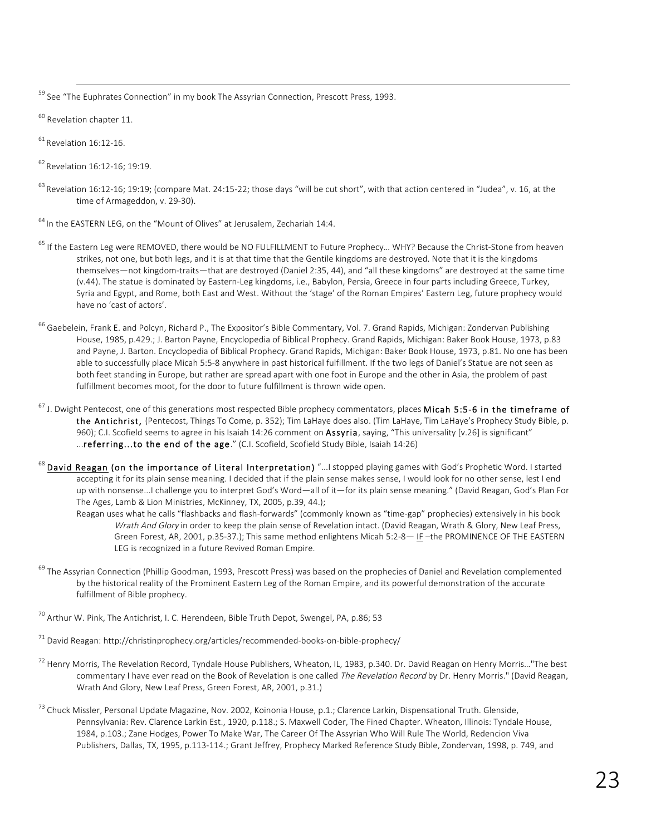<sup>59</sup> See "The Euphrates Connection" in my book The Assyrian Connection, Prescott Press, 1993.

<sup>60</sup> Revelation chapter 11.

 $61$  Revelation 16:12-16.

<sup>62</sup> Revelation 16:12-16; 19:19.

<sup>63</sup> Revelation 16:12-16; 19:19; (compare Mat. 24:15-22; those days "will be cut short", with that action centered in "Judea", v. 16, at the time of Armageddon, v. 29-30).

<u> 1989 - Andrea Santa Andrea Andrea Andrea Andrea Andrea Andrea Andrea Andrea Andrea Andrea Andrea Andrea Andr</u>

<sup>64</sup> In the EASTERN LEG, on the "Mount of Olives" at Jerusalem, Zechariah 14:4.

- <sup>65</sup> If the Eastern Leg were REMOVED, there would be NO FULFILLMENT to Future Prophecy... WHY? Because the Christ-Stone from heaven strikes, not one, but both legs, and it is at that time that the Gentile kingdoms are destroyed. Note that it is the kingdoms themselves—not kingdom-traits—that are destroyed (Daniel 2:35, 44), and "all these kingdoms" are destroyed at the same time (v.44). The statue is dominated by Eastern-Leg kingdoms, i.e., Babylon, Persia, Greece in four parts including Greece, Turkey, Syria and Egypt, and Rome, both East and West. Without the 'stage' of the Roman Empires' Eastern Leg, future prophecy would have no 'cast of actors'.
- <sup>66</sup> Gaebelein, Frank E. and Polcyn, Richard P., The Expositor's Bible Commentary, Vol. 7. Grand Rapids, Michigan: Zondervan Publishing House, 1985, p.429.; J. Barton Payne, Encyclopedia of Biblical Prophecy. Grand Rapids, Michigan: Baker Book House, 1973, p.83 and Payne, J. Barton. Encyclopedia of Biblical Prophecy. Grand Rapids, Michigan: Baker Book House, 1973, p.81. No one has been able to successfully place Micah 5:5-8 anywhere in past historical fulfillment. If the two legs of Daniel's Statue are not seen as both feet standing in Europe, but rather are spread apart with one foot in Europe and the other in Asia, the problem of past fulfillment becomes moot, for the door to future fulfillment is thrown wide open.
- <sup>67</sup> J. Dwight Pentecost, one of this generations most respected Bible prophecy commentators, places Micah 5:5-6 in the timeframe of the Antichrist, (Pentecost, Things To Come, p. 352); Tim LaHaye does also. (Tim LaHaye, Tim LaHaye's Prophecy Study Bible, p. 960); C.I. Scofield seems to agree in his Isaiah 14:26 comment on Assyria, saying, "This universality [v.26] is significant" ...referring...to the end of the age." (C.I. Scofield, Scofield Study Bible, Isaiah 14:26)
- $^{68}$  David Reagan (on the importance of Literal Interpretation) "...I stopped playing games with God's Prophetic Word. I started accepting it for its plain sense meaning. I decided that if the plain sense makes sense, I would look for no other sense, lest I end up with nonsense...I challenge you to interpret God's Word—all of it—for its plain sense meaning." (David Reagan, God's Plan For The Ages, Lamb & Lion Ministries, McKinney, TX, 2005, p.39, 44.);
	- Reagan uses what he calls "flashbacks and flash-forwards" (commonly known as "time-gap" prophecies) extensively in his book Wrath And Glory in order to keep the plain sense of Revelation intact. (David Reagan, Wrath & Glory, New Leaf Press, Green Forest, AR, 2001, p.35-37.); This same method enlightens Micah 5:2-8— IF –the PROMINENCE OF THE EASTERN LEG is recognized in a future Revived Roman Empire.
- <sup>69</sup> The Assyrian Connection (Phillip Goodman, 1993, Prescott Press) was based on the prophecies of Daniel and Revelation complemented by the historical reality of the Prominent Eastern Leg of the Roman Empire, and its powerful demonstration of the accurate fulfillment of Bible prophecy.

 $^{70}$  Arthur W. Pink, The Antichrist, I. C. Herendeen, Bible Truth Depot, Swengel, PA, p.86; 53

 $71$  David Reagan: http://christinprophecy.org/articles/recommended-books-on-bible-prophecy/

- $^{72}$  Henry Morris, The Revelation Record, Tyndale House Publishers, Wheaton, IL, 1983, p.340. Dr. David Reagan on Henry Morris…"The best commentary I have ever read on the Book of Revelation is one called The Revelation Record by Dr. Henry Morris." (David Reagan, Wrath And Glory, New Leaf Press, Green Forest, AR, 2001, p.31.)
- <sup>73</sup> Chuck Missler, Personal Update Magazine, Nov. 2002, Koinonia House, p.1.; Clarence Larkin, Dispensational Truth. Glenside, Pennsylvania: Rev. Clarence Larkin Est., 1920, p.118.; S. Maxwell Coder, The Fined Chapter. Wheaton, Illinois: Tyndale House, 1984, p.103.; Zane Hodges, Power To Make War, The Career Of The Assyrian Who Will Rule The World, Redencion Viva Publishers, Dallas, TX, 1995, p.113-114.; Grant Jeffrey, Prophecy Marked Reference Study Bible, Zondervan, 1998, p. 749, and